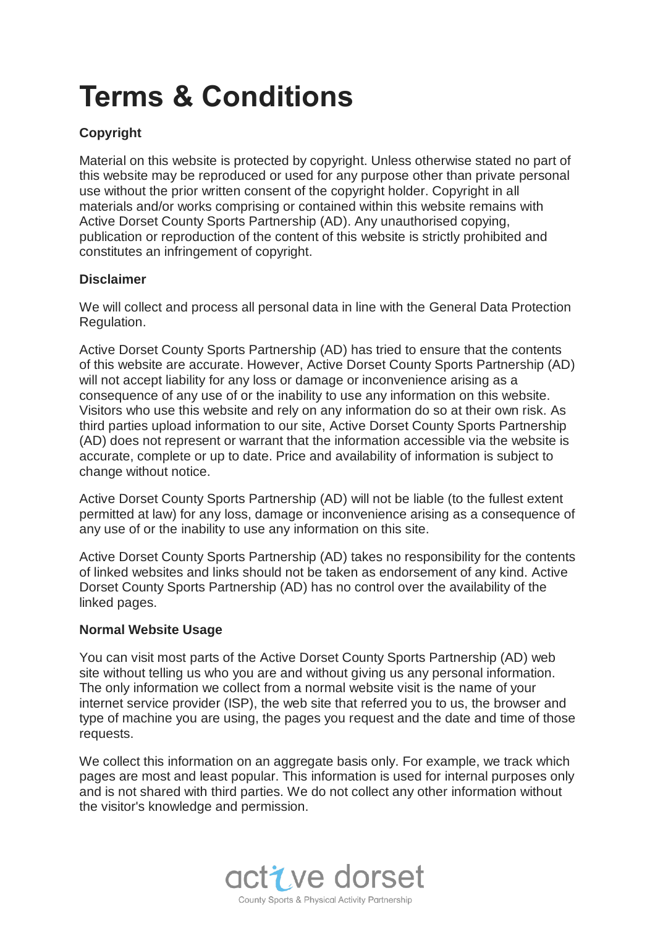# **Terms & Conditions**

# **Copyright**

Material on this website is protected by copyright. Unless otherwise stated no part of this website may be reproduced or used for any purpose other than private personal use without the prior written consent of the copyright holder. Copyright in all materials and/or works comprising or contained within this website remains with Active Dorset County Sports Partnership (AD). Any unauthorised copying, publication or reproduction of the content of this website is strictly prohibited and constitutes an infringement of copyright.

## **Disclaimer**

We will collect and process all personal data in line with the General Data Protection Regulation.

Active Dorset County Sports Partnership (AD) has tried to ensure that the contents of this website are accurate. However, Active Dorset County Sports Partnership (AD) will not accept liability for any loss or damage or inconvenience arising as a consequence of any use of or the inability to use any information on this website. Visitors who use this website and rely on any information do so at their own risk. As third parties upload information to our site, Active Dorset County Sports Partnership (AD) does not represent or warrant that the information accessible via the website is accurate, complete or up to date. Price and availability of information is subject to change without notice.

Active Dorset County Sports Partnership (AD) will not be liable (to the fullest extent permitted at law) for any loss, damage or inconvenience arising as a consequence of any use of or the inability to use any information on this site.

Active Dorset County Sports Partnership (AD) takes no responsibility for the contents of linked websites and links should not be taken as endorsement of any kind. Active Dorset County Sports Partnership (AD) has no control over the availability of the linked pages.

## **Normal Website Usage**

You can visit most parts of the Active Dorset County Sports Partnership (AD) web site without telling us who you are and without giving us any personal information. The only information we collect from a normal website visit is the name of your internet service provider (ISP), the web site that referred you to us, the browser and type of machine you are using, the pages you request and the date and time of those requests.

We collect this information on an aggregate basis only. For example, we track which pages are most and least popular. This information is used for internal purposes only and is not shared with third parties. We do not collect any other information without the visitor's knowledge and permission.